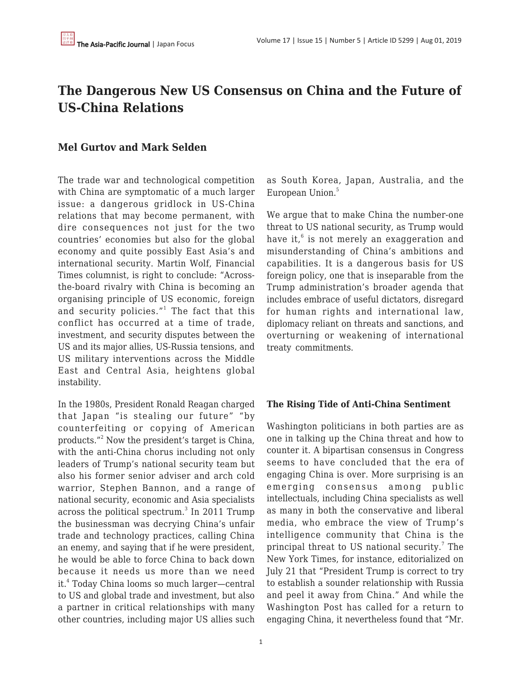# **The Dangerous New US Consensus on China and the Future of US-China Relations**

## **Mel Gurtov and Mark Selden**

The trade war and technological competition with China are symptomatic of a much larger issue: a dangerous gridlock in US-China relations that may become permanent, with dire consequences not just for the two countries' economies but also for the global economy and quite possibly East Asia's and international security. Martin Wolf, Financial Times columnist, is right to conclude: "Acrossthe-board rivalry with China is becoming an organising principle of US economic, foreign and security policies."<sup>1</sup> The fact that this conflict has occurred at a time of trade, investment, and security disputes between the US and its major allies, US-Russia tensions, and US military interventions across the Middle East and Central Asia, heightens global instability.

In the 1980s, President Ronald Reagan charged that Japan "is stealing our future" "by counterfeiting or copying of American products."<sup>2</sup> Now the president's target is China, with the anti-China chorus including not only leaders of Trump's national security team but also his former senior adviser and arch cold warrior, Stephen Bannon, and a range of national security, economic and Asia specialists across the political spectrum. $^3$  In 2011 Trump the businessman was decrying China's unfair trade and technology practices, calling China an enemy, and saying that if he were president, he would be able to force China to back down because it needs us more than we need it.<sup>4</sup> Today China looms so much larger—central to US and global trade and investment, but also a partner in critical relationships with many other countries, including major US allies such as South Korea, Japan, Australia, and the European Union.<sup>5</sup>

We argue that to make China the number-one threat to US national security, as Trump would have it,<sup>6</sup> is not merely an exaggeration and misunderstanding of China's ambitions and capabilities. It is a dangerous basis for US foreign policy, one that is inseparable from the Trump administration's broader agenda that includes embrace of useful dictators, disregard for human rights and international law, diplomacy reliant on threats and sanctions, and overturning or weakening of international treaty commitments.

#### **The Rising Tide of Anti-China Sentiment**

Washington politicians in both parties are as one in talking up the China threat and how to counter it. A bipartisan consensus in Congress seems to have concluded that the era of engaging China is over. More surprising is an emerging consensus among public intellectuals, including China specialists as well as many in both the conservative and liberal media, who embrace the view of Trump's intelligence community that China is the principal threat to US national security.<sup>7</sup> The New York Times, for instance, editorialized on July 21 that "President Trump is correct to try to establish a sounder relationship with Russia and peel it away from China." And while the Washington Post has called for a return to engaging China, it nevertheless found that "Mr.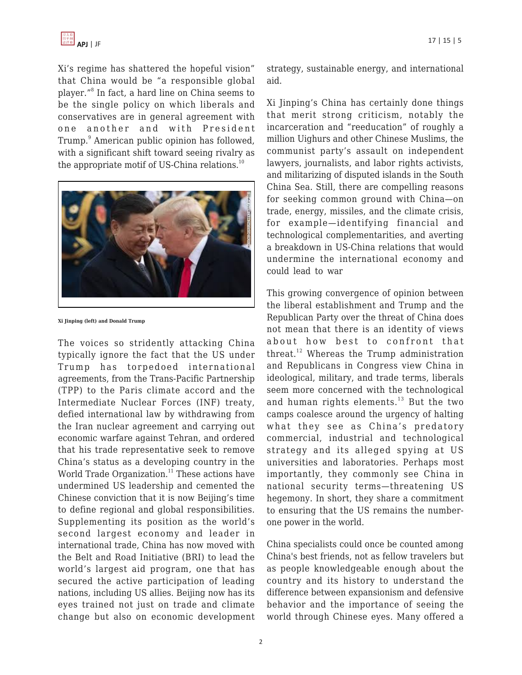

Xi's regime has shattered the hopeful vision" that China would be "a responsible global player."<sup>8</sup> In fact, a hard line on China seems to be the single policy on which liberals and conservatives are in general agreement with one another and with President Trump.<sup>9</sup> American public opinion has followed, with a significant shift toward seeing rivalry as the appropriate motif of US-China relations. $^{10}$ 



**Xi Jinping (left) and Donald Trump**

The voices so stridently attacking China typically ignore the fact that the US under Trump has torpedoed international agreements, from the Trans-Pacific Partnership (TPP) to the Paris climate accord and the Intermediate Nuclear Forces (INF) treaty, defied international law by withdrawing from the Iran nuclear agreement and carrying out economic warfare against Tehran, and ordered that his trade representative seek to remove China's status as a developing country in the World Trade Organization.<sup>11</sup> These actions have undermined US leadership and cemented the Chinese conviction that it is now Beijing's time to define regional and global responsibilities. Supplementing its position as the world's second largest economy and leader in international trade, China has now moved with the Belt and Road Initiative (BRI) to lead the world's largest aid program, one that has secured the active participation of leading nations, including US allies. Beijing now has its eyes trained not just on trade and climate change but also on economic development strategy, sustainable energy, and international aid.

Xi Jinping's China has certainly done things that merit strong criticism, notably the incarceration and "reeducation" of roughly a million Uighurs and other Chinese Muslims, the communist party's assault on independent lawyers, journalists, and labor rights activists, and militarizing of disputed islands in the South China Sea. Still, there are compelling reasons for seeking common ground with China—on trade, energy, missiles, and the climate crisis, for example—identifying financial and technological complementarities, and averting a breakdown in US-China relations that would undermine the international economy and could lead to war

This growing convergence of opinion between the liberal establishment and Trump and the Republican Party over the threat of China does not mean that there is an identity of views about how best to confront that threat.<sup>12</sup> Whereas the Trump administration and Republicans in Congress view China in ideological, military, and trade terms, liberals seem more concerned with the technological and human rights elements.<sup>13</sup> But the two camps coalesce around the urgency of halting what they see as China's predatory commercial, industrial and technological strategy and its alleged spying at US universities and laboratories. Perhaps most importantly, they commonly see China in national security terms—threatening US hegemony. In short, they share a commitment to ensuring that the US remains the numberone power in the world.

China specialists could once be counted among China's best friends, not as fellow travelers but as people knowledgeable enough about the country and its history to understand the difference between expansionism and defensive behavior and the importance of seeing the world through Chinese eyes. Many offered a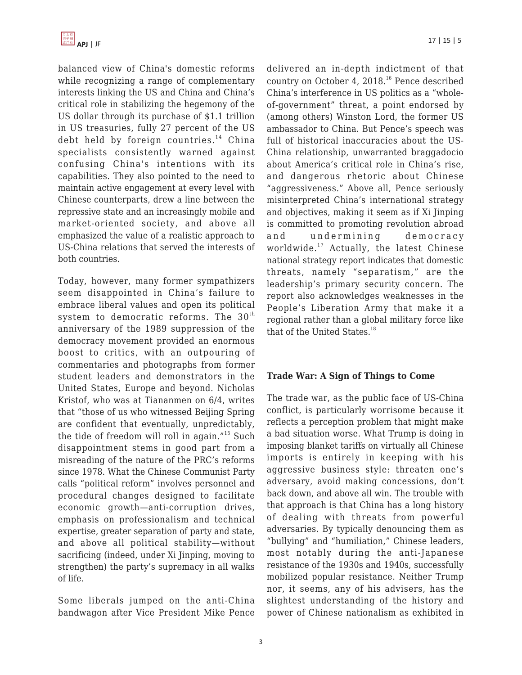balanced view of China's domestic reforms while recognizing a range of complementary interests linking the US and China and China's critical role in stabilizing the hegemony of the US dollar through its purchase of \$1.1 trillion in US treasuries, fully 27 percent of the US debt held by foreign countries. <sup>14</sup> China specialists consistently warned against confusing China's intentions with its capabilities. They also pointed to the need to maintain active engagement at every level with Chinese counterparts, drew a line between the repressive state and an increasingly mobile and market-oriented society, and above all emphasized the value of a realistic approach to US-China relations that served the interests of both countries.

Today, however, many former sympathizers seem disappointed in China's failure to embrace liberal values and open its political system to democratic reforms. The  $30<sup>th</sup>$ anniversary of the 1989 suppression of the democracy movement provided an enormous boost to critics, with an outpouring of commentaries and photographs from former student leaders and demonstrators in the United States, Europe and beyond. Nicholas Kristof, who was at Tiananmen on 6/4, writes that "those of us who witnessed Beijing Spring are confident that eventually, unpredictably, the tide of freedom will roll in again."<sup>15</sup> Such disappointment stems in good part from a misreading of the nature of the PRC's reforms since 1978. What the Chinese Communist Party calls "political reform" involves personnel and procedural changes designed to facilitate economic growth—anti-corruption drives, emphasis on professionalism and technical expertise, greater separation of party and state, and above all political stability—without sacrificing (indeed, under Xi Jinping, moving to strengthen) the party's supremacy in all walks of life.

Some liberals jumped on the anti-China bandwagon after Vice President Mike Pence delivered an in-depth indictment of that country on October 4, 2018.<sup>16</sup> Pence described China's interference in US politics as a "wholeof-government" threat, a point endorsed by (among others) Winston Lord, the former US ambassador to China. But Pence's speech was full of historical inaccuracies about the US-China relationship, unwarranted braggadocio about America's critical role in China's rise, and dangerous rhetoric about Chinese "aggressiveness." Above all, Pence seriously misinterpreted China's international strategy and objectives, making it seem as if Xi Jinping is committed to promoting revolution abroad and undermining democracy worldwide.<sup>17</sup> Actually, the latest Chinese national strategy report indicates that domestic threats, namely "separatism," are the leadership's primary security concern. The report also acknowledges weaknesses in the People's Liberation Army that make it a regional rather than a global military force like that of the United States.<sup>18</sup>

#### **Trade War: A Sign of Things to Come**

The trade war, as the public face of US-China conflict, is particularly worrisome because it reflects a perception problem that might make a bad situation worse. What Trump is doing in imposing blanket tariffs on virtually all Chinese imports is entirely in keeping with his aggressive business style: threaten one's adversary, avoid making concessions, don't back down, and above all win. The trouble with that approach is that China has a long history of dealing with threats from powerful adversaries. By typically denouncing them as "bullying" and "humiliation," Chinese leaders, most notably during the anti-Japanese resistance of the 1930s and 1940s, successfully mobilized popular resistance. Neither Trump nor, it seems, any of his advisers, has the slightest understanding of the history and power of Chinese nationalism as exhibited in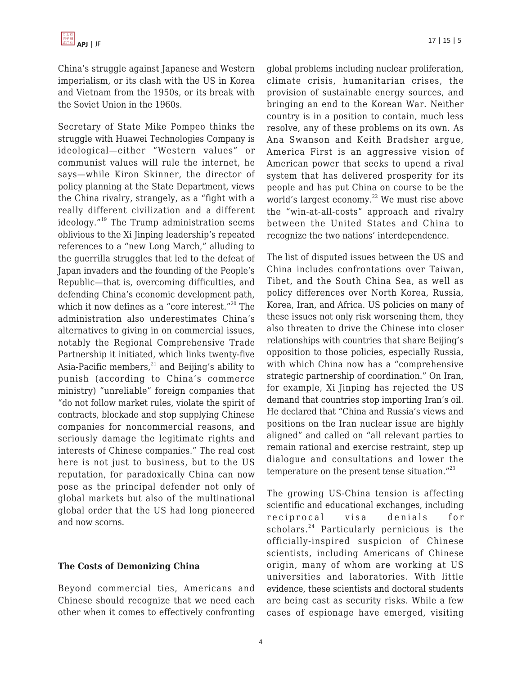China's struggle against Japanese and Western imperialism, or its clash with the US in Korea and Vietnam from the 1950s, or its break with the Soviet Union in the 1960s.

Secretary of State Mike Pompeo thinks the struggle with Huawei Technologies Company is ideological—either "Western values" or communist values will rule the internet, he says—while Kiron Skinner, the director of policy planning at the State Department, views the China rivalry, strangely, as a "fight with a really different civilization and a different ideology. $19$ <sup>19</sup> The Trump administration seems oblivious to the Xi Jinping leadership's repeated references to a "new Long March," alluding to the guerrilla struggles that led to the defeat of Japan invaders and the founding of the People's Republic—that is, overcoming difficulties, and defending China's economic development path, which it now defines as a "core interest." $^{20}$  The administration also underestimates China's alternatives to giving in on commercial issues, notably the Regional Comprehensive Trade Partnership it initiated, which links twenty-five Asia-Pacific members, $^{21}$  and Beijing's ability to punish (according to China's commerce ministry) "unreliable" foreign companies that "do not follow market rules, violate the spirit of contracts, blockade and stop supplying Chinese companies for noncommercial reasons, and seriously damage the legitimate rights and interests of Chinese companies." The real cost here is not just to business, but to the US reputation, for paradoxically China can now pose as the principal defender not only of global markets but also of the multinational global order that the US had long pioneered and now scorns.

#### **The Costs of Demonizing China**

Beyond commercial ties, Americans and Chinese should recognize that we need each other when it comes to effectively confronting global problems including nuclear proliferation, climate crisis, humanitarian crises, the provision of sustainable energy sources, and bringing an end to the Korean War. Neither country is in a position to contain, much less resolve, any of these problems on its own. As Ana Swanson and Keith Bradsher argue, America First is an aggressive vision of American power that seeks to upend a rival system that has delivered prosperity for its people and has put China on course to be the world's largest economy. $^{22}$  We must rise above the "win-at-all-costs" approach and rivalry between the United States and China to recognize the two nations' interdependence.

The list of disputed issues between the US and China includes confrontations over Taiwan, Tibet, and the South China Sea, as well as policy differences over North Korea, Russia, Korea, Iran, and Africa. US policies on many of these issues not only risk worsening them, they also threaten to drive the Chinese into closer relationships with countries that share Beijing's opposition to those policies, especially Russia, with which China now has a "comprehensive strategic partnership of coordination." On Iran, for example, Xi Jinping has rejected the US demand that countries stop importing Iran's oil. He declared that "China and Russia's views and positions on the Iran nuclear issue are highly aligned" and called on "all relevant parties to remain rational and exercise restraint, step up dialogue and consultations and lower the temperature on the present tense situation. $123$ 

The growing US-China tension is affecting scientific and educational exchanges, including reciprocal visa denials for scholars.<sup>24</sup> Particularly pernicious is the officially-inspired suspicion of Chinese scientists, including Americans of Chinese origin, many of whom are working at US universities and laboratories. With little evidence, these scientists and doctoral students are being cast as security risks. While a few cases of espionage have emerged, visiting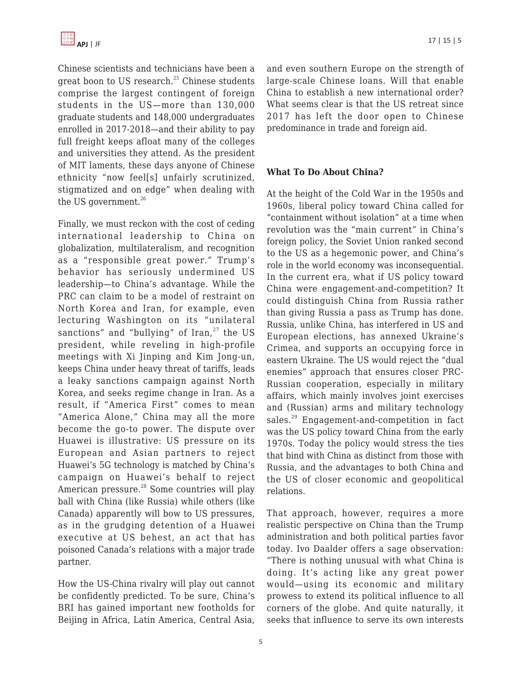Chinese scientists and technicians have been a great boon to US research.<sup>25</sup> Chinese students comprise the largest contingent of foreign students in the US—more than 130,000 graduate students and 148,000 undergraduates enrolled in 2017-2018—and their ability to pay full freight keeps afloat many of the colleges and universities they attend. As the president of MIT laments, these days anyone of Chinese ethnicity "now feel[s] unfairly scrutinized, stigmatized and on edge" when dealing with the US government. $26$ 

Finally, we must reckon with the cost of ceding international leadership to China on globalization, multilateralism, and recognition as a "responsible great power." Trump's behavior has seriously undermined US leadership—to China's advantage. While the PRC can claim to be a model of restraint on North Korea and Iran, for example, even lecturing Washington on its "unilateral sanctions" and "bullying" of  $\text{Iran},^{27}$  the US president, while reveling in high-profile meetings with Xi Jinping and Kim Jong-un, keeps China under heavy threat of tariffs, leads a leaky sanctions campaign against North Korea, and seeks regime change in Iran. As a result, if "America First" comes to mean "America Alone," China may all the more become the go-to power. The dispute over Huawei is illustrative: US pressure on its European and Asian partners to reject Huawei's 5G technology is matched by China's campaign on Huawei's behalf to reject American pressure.<sup>28</sup> Some countries will play ball with China (like Russia) while others (like Canada) apparently will bow to US pressures, as in the grudging detention of a Huawei executive at US behest, an act that has poisoned Canada's relations with a major trade partner.

How the US-China rivalry will play out cannot be confidently predicted. To be sure, China's BRI has gained important new footholds for Beijing in Africa, Latin America, Central Asia,

and even southern Europe on the strength of large-scale Chinese loans. Will that enable China to establish a new international order? What seems clear is that the US retreat since 2017 has left the door open to Chinese predominance in trade and foreign aid.

### **What To Do About China?**

At the height of the Cold War in the 1950s and 1960s, liberal policy toward China called for "containment without isolation" at a time when revolution was the "main current" in China's foreign policy, the Soviet Union ranked second to the US as a hegemonic power, and China's role in the world economy was inconsequential. In the current era, what if US policy toward China were engagement-and-competition? It could distinguish China from Russia rather than giving Russia a pass as Trump has done. Russia, unlike China, has interfered in US and European elections, has annexed Ukraine's Crimea, and supports an occupying force in eastern Ukraine. The US would reject the "dual enemies" approach that ensures closer PRC-Russian cooperation, especially in military affairs, which mainly involves joint exercises and (Russian) arms and military technology sales.<sup>29</sup> Engagement-and-competition in fact was the US policy toward China from the early 1970s. Today the policy would stress the ties that bind with China as distinct from those with Russia, and the advantages to both China and the US of closer economic and geopolitical relations.

That approach, however, requires a more realistic perspective on China than the Trump administration and both political parties favor today. Ivo Daalder offers a sage observation: "There is nothing unusual with what China is doing. It's acting like any great power would—using its economic and military prowess to extend its political influence to all corners of the globe. And quite naturally, it seeks that influence to serve its own interests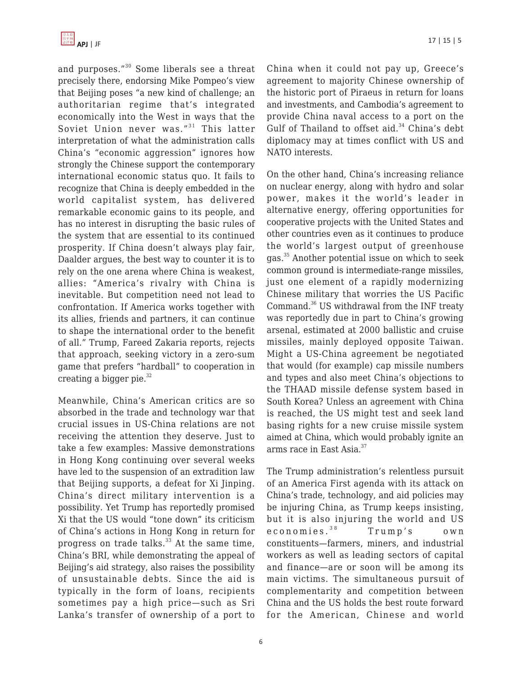

and purposes."<sup>30</sup> Some liberals see a threat precisely there, endorsing Mike Pompeo's view that Beijing poses "a new kind of challenge; an authoritarian regime that's integrated economically into the West in ways that the Soviet Union never was." $31$  This latter interpretation of what the administration calls China's "economic aggression" ignores how strongly the Chinese support the contemporary international economic status quo. It fails to recognize that China is deeply embedded in the world capitalist system, has delivered remarkable economic gains to its people, and has no interest in disrupting the basic rules of the system that are essential to its continued prosperity. If China doesn't always play fair, Daalder argues, the best way to counter it is to rely on the one arena where China is weakest, allies: "America's rivalry with China is inevitable. But competition need not lead to confrontation. If America works together with its allies, friends and partners, it can continue to shape the international order to the benefit of all." Trump, Fareed Zakaria reports, rejects that approach, seeking victory in a zero-sum game that prefers "hardball" to cooperation in creating a bigger pie. $32$ 

Meanwhile, China's American critics are so absorbed in the trade and technology war that crucial issues in US-China relations are not receiving the attention they deserve. Just to take a few examples: Massive demonstrations in Hong Kong continuing over several weeks have led to the suspension of an extradition law that Beijing supports, a defeat for Xi Jinping. China's direct military intervention is a possibility. Yet Trump has reportedly promised Xi that the US would "tone down" its criticism of China's actions in Hong Kong in return for progress on trade talks.<sup>33</sup> At the same time, China's BRI, while demonstrating the appeal of Beijing's aid strategy, also raises the possibility of unsustainable debts. Since the aid is typically in the form of loans, recipients sometimes pay a high price—such as Sri Lanka's transfer of ownership of a port to China when it could not pay up, Greece's agreement to majority Chinese ownership of the historic port of Piraeus in return for loans and investments, and Cambodia's agreement to provide China naval access to a port on the Gulf of Thailand to offset aid. $34$  China's debt diplomacy may at times conflict with US and NATO interests.

On the other hand, China's increasing reliance on nuclear energy, along with hydro and solar power, makes it the world's leader in alternative energy, offering opportunities for cooperative projects with the United States and other countries even as it continues to produce the world's largest output of greenhouse gas.<sup>35</sup> Another potential issue on which to seek common ground is intermediate-range missiles, just one element of a rapidly modernizing Chinese military that worries the US Pacific Command.<sup>36</sup> US withdrawal from the INF treaty was reportedly due in part to China's growing arsenal, estimated at 2000 ballistic and cruise missiles, mainly deployed opposite Taiwan. Might a US-China agreement be negotiated that would (for example) cap missile numbers and types and also meet China's objections to the THAAD missile defense system based in South Korea? Unless an agreement with China is reached, the US might test and seek land basing rights for a new cruise missile system aimed at China, which would probably ignite an arms race in East Asia.<sup>37</sup>

The Trump administration's relentless pursuit of an America First agenda with its attack on China's trade, technology, and aid policies may be injuring China, as Trump keeps insisting, but it is also injuring the world and US economies.<sup>38</sup> Trump's own constituents—farmers, miners, and industrial workers as well as leading sectors of capital and finance—are or soon will be among its main victims. The simultaneous pursuit of complementarity and competition between China and the US holds the best route forward for the American, Chinese and world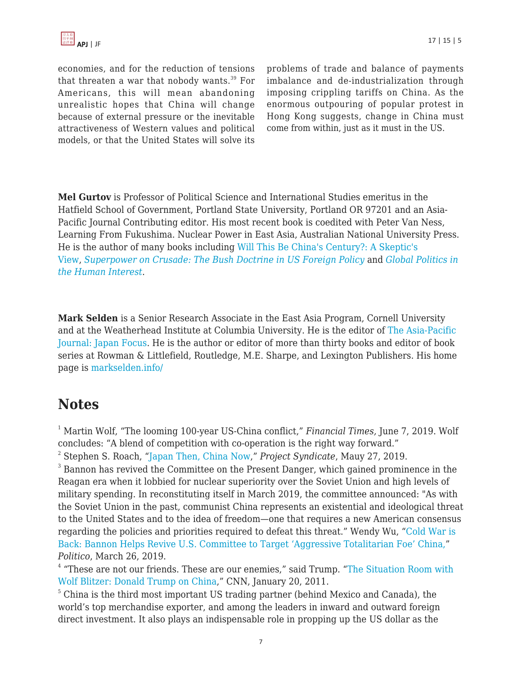economies, and for the reduction of tensions that threaten a war that nobody wants. $39$  For Americans, this will mean abandoning unrealistic hopes that China will change because of external pressure or the inevitable attractiveness of Western values and political models, or that the United States will solve its problems of trade and balance of payments imbalance and de-industrialization through imposing crippling tariffs on China. As the enormous outpouring of popular protest in Hong Kong suggests, change in China must come from within, just as it must in the US.

**Mel Gurtov** is Professor of Political Science and International Studies emeritus in the Hatfield School of Government, Portland State University, Portland OR 97201 and an Asia-Pacific Journal Contributing editor. His most recent book is coedited with Peter Van Ness, Learning From Fukushima. Nuclear Power in East Asia, Australian National University Press. He is the author of many books including [Will This Be China's Century?: A Skeptic's](http://www.amazon.com/Will-This-Be-Chinas-Century/dp/1588268748/?tag=theasipacjo0b-20) [View,](http://www.amazon.com/Will-This-Be-Chinas-Century/dp/1588268748/?tag=theasipacjo0b-20) *[Superpower on Crusade: The Bush Doctrine in US Foreign Policy](https://www.amazon.com/dp/1588264076/?tag=theasipacjo0b-20)* [a](https://www.amazon.com/dp/1588264076/?tag=theasipacjo0b-20)nd *[Global Politics in](http://www.amazon.com/dp/158826484X/?tag=theasipacjo0b-20) [the Human Interest](http://www.amazon.com/dp/158826484X/?tag=theasipacjo0b-20)*.

**Mark Selden** is a Senior Research Associate in the East Asia Program, Cornell University and at the Weatherhead Institute at Columbia University. He is the editor of [The Asia-Pacific](http://japanfocus.org/) [Journal: Japan Focus](http://japanfocus.org/). He is the author or editor of more than thirty books and editor of book series at Rowman & Littlefield, Routledge, M.E. Sharpe, and Lexington Publishers. His home page is [markselden.info/](http://markselden.info/)

# **Notes**

<sup>1</sup> Martin Wolf, "The looming 100-year US-China conflict," *Financial Times*, June 7, 2019. Wolf concludes: "A blend of competition with co-operation is the right way forward."

2 Stephen S. Roach, "[Japan Then, China Now,](http://www.project-syndicate.org/commentary/for-america-china-is-the-new-japan-by-stephen-s-roach-2019-05)" *Project Syndicate*, Mauy 27, 2019.

 $3$  Bannon has revived the Committee on the Present Danger, which gained prominence in the Reagan era when it lobbied for nuclear superiority over the Soviet Union and high levels of military spending. In reconstituting itself in March 2019, the committee announced: "As with the Soviet Union in the past, communist China represents an existential and ideological threat to the United States and to the idea of freedom—one that requires a new American consensus regarding the policies and priorities required to defeat this threat." Wendy Wu, ["Cold War is](http://www.politico.com/story/2019/03/26/steve-bannon-china-1238039) [Back: Bannon Helps Revive U.S. Committee to Target 'Aggressive Totalitarian Foe' China,"](http://www.politico.com/story/2019/03/26/steve-bannon-china-1238039) *Politico*, March 26, 2019.

<sup>4</sup> "These are not our friends. These are our enemies," said Trump. ["The Situation Room with](http://cnnpressroom.blogs.cnn.com/2011/01/20/the-situation-room-with-wolf-blitzer-donald-trump-on-china-these-are-not-our-friends-these-are-our-enemies/) [Wolf Blitzer: Donald Trump on China](http://cnnpressroom.blogs.cnn.com/2011/01/20/the-situation-room-with-wolf-blitzer-donald-trump-on-china-these-are-not-our-friends-these-are-our-enemies/)," CNN, January 20, 2011.

<sup>5</sup> China is the third most important US trading partner (behind Mexico and Canada), the world's top merchandise exporter, and among the leaders in inward and outward foreign direct investment. It also plays an indispensable role in propping up the US dollar as the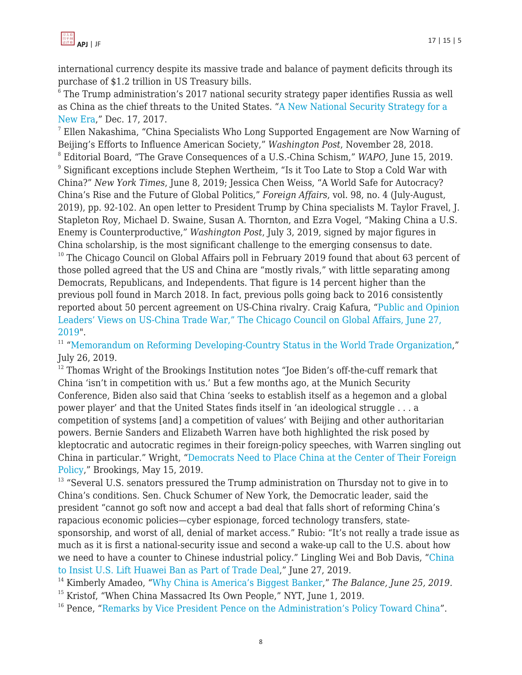

international currency despite its massive trade and balance of payment deficits through its purchase of \$1.2 trillion in US Treasury bills.

 $^{\rm 6}$  The Trump administration's 2017 national security strategy paper identifies Russia as well as China as the chief threats to the United States. ["A New National Security Strategy for a](http://www.whitehouse.gov/articles/new-national-security-strategy-new-era/) [New Era](http://www.whitehouse.gov/articles/new-national-security-strategy-new-era/)," Dec. 17, 2017.

 $^7$  Ellen Nakashima, "China Specialists Who Long Supported Engagement are Now Warning of Beijing's Efforts to Influence American Society," *Washington Post*, November 28, 2018. 8 Editorial Board, "The Grave Consequences of a U.S.-China Schism," *WAPO*, June 15, 2019.  $^{\rm 9}$  Significant exceptions include Stephen Wertheim, "Is it Too Late to Stop a Cold War with China?" *New York Times*, June 8, 2019; Jessica Chen Weiss, "A World Safe for Autocracy? China's Rise and the Future of Global Politics," *Foreign Affairs*, vol. 98, no. 4 (July-August, 2019), pp. 92-102. An open letter to President Trump by China specialists M. Taylor Fravel, J. Stapleton Roy, Michael D. Swaine, Susan A. Thornton, and Ezra Vogel, "Making China a U.S. Enemy is Counterproductive," *Washington Post*, July 3, 2019, signed by major figures in China scholarship, is the most significant challenge to the emerging consensus to date.  $10$  The Chicago Council on Global Affairs poll in February 2019 found that about 63 percent of those polled agreed that the US and China are "mostly rivals," with little separating among Democrats, Republicans, and Independents. That figure is 14 percent higher than the previous poll found in March 2018. In fact, previous polls going back to 2016 consistently reported about 50 percent agreement on US-China rivalry. Craig Kafura, ["Public and Opinion](http://www.thechicagocouncil.org/publication/public-and-opinion-leaders-views-us-china-trade-war)

[Leaders' Views on US-China Trade War," The Chicago Council on Global Affairs, June 27,](http://www.thechicagocouncil.org/publication/public-and-opinion-leaders-views-us-china-trade-war) [2019](http://www.thechicagocouncil.org/publication/public-and-opinion-leaders-views-us-china-trade-war)". <sup>11</sup> ["Memorandum on Reforming Developing-Country Status in the World Trade Organization](http://www.whitehouse.gov/presidential-actions/memorandum-reforming-developing-country-status-world-trade-organization/),"

July 26, 2019.

 $12$  Thomas Wright of the Brookings Institution notes "Joe Biden's off-the-cuff remark that China 'isn't in competition with us.' But a few months ago, at the Munich Security Conference, Biden also said that China 'seeks to establish itself as a hegemon and a global power player' and that the United States finds itself in 'an ideological struggle . . . a competition of systems [and] a competition of values' with Beijing and other authoritarian powers. Bernie Sanders and Elizabeth Warren have both highlighted the risk posed by kleptocratic and autocratic regimes in their foreign-policy speeches, with Warren singling out China in particular." Wright, "[Democrats Need to Place China at the Center of Their Foreign](http://www.brookings.edu/blog/order-from-chaos/2019/05/15/democrats-need-to-place-china-at-the-center-of-their-foreign-policy/) [Policy](http://www.brookings.edu/blog/order-from-chaos/2019/05/15/democrats-need-to-place-china-at-the-center-of-their-foreign-policy/)," Brookings, May 15, 2019.

<sup>13</sup> "Several U.S. senators pressured the Trump administration on Thursday not to give in to China's conditions. Sen. Chuck Schumer of New York, the Democratic leader, said the president "cannot go soft now and accept a bad deal that falls short of reforming China's rapacious economic policies—cyber espionage, forced technology transfers, statesponsorship, and worst of all, denial of market access." Rubio: "It's not really a trade issue as much as it is first a national-security issue and second a wake-up call to the U.S. about how we need to have a counter to Chinese industrial policy." Lingling Wei and Bob Davis, "[China](http://www.wsj.com/articles/china-s-xi-to-present-trump-with-terms-for-settling-trade-fight-chinese-officials-say-11561628961) [to Insist U.S. Lift Huawei Ban as Part of Trade Deal,](http://www.wsj.com/articles/china-s-xi-to-present-trump-with-terms-for-settling-trade-fight-chinese-officials-say-11561628961)" June 27, 2019.

<sup>14</sup> Kimberly Amadeo, "[Why China is America's Biggest Banker](http://www.thebalance.com/u-s-debt-to-china-how-much-does-it-own-3306355)," *The Balance, June 25, 2019*.

 $15$  Kristof, "When China Massacred Its Own People," NYT, June 1, 2019.

<sup>16</sup> Pence, "[Remarks by Vice President Pence on the Administration's Policy Toward China](http://www.whitehouse.gov/briefings-statements/remarks-vice-president-pence-administrations-policy-toward-china/)".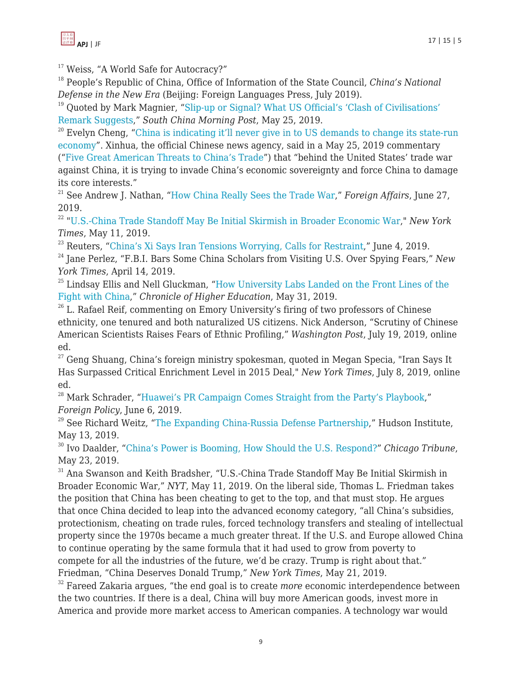

<sup>17</sup> Weiss, "A World Safe for Autocracy?"

<sup>18</sup> People's Republic of China, Office of Information of the State Council, *China's National Defense in the New Era* (Beijing: Foreign Languages Press, July 2019).

<sup>19</sup> Quoted by Mark Magnier, "[Slip-up or Signal? What US Official's 'Clash of Civilisations'](http://www.scmp.com/news/china/article/3011763/slip-or-signal-what-us-officials-clash-civilisations-remarks-suggest) [Remark Suggests](http://www.scmp.com/news/china/article/3011763/slip-or-signal-what-us-officials-clash-civilisations-remarks-suggest)," *South China Morning Post*, May 25, 2019.

 $20$  Evelyn Cheng, "[China is indicating it'll never give in to US demands to change its state-run](http://www.cnbc.com/2019/05/27/china-is-digging-in-its-heels-on-protecting-a-state-run-economy.html) [economy"](http://www.cnbc.com/2019/05/27/china-is-digging-in-its-heels-on-protecting-a-state-run-economy.html). Xinhua, the official Chinese news agency, said in a May 25, 2019 commentary ("[Five Great American Threats to China's Trade](http://www.xinhuanet.com/world/2019-05/25/c_1124541929.htm)") that "behind the United States' trade war against China, it is trying to invade China's economic sovereignty and force China to damage its core interests."

<sup>21</sup> See Andrew J. Nathan, "[How China Really Sees the Trade War,](http://www.foreignaffairs.com/articles/china/2019-06-27/how-china-really-sees-trade-war)" *Foreign Affairs*, June 27, 2019.

<sup>22</sup> "[U.S.-China Trade Standoff May Be Initial Skirmish in Broader Economic War,](https://www.nytimes.com/2019/05/11/world/asia/us-china-trade-war.html)" *New York Times*, May 11, 2019.

 $23$  Reuters, "[China's Xi Says Iran Tensions Worrying, Calls for Restraint](http://www.reuters.com/article/us-usa-iran-china/chinas-xi-says-iran-tensions-worrying-calls-for-restraint-idUSKCN1 T603R)," June 4, 2019.

<sup>24</sup> Jane Perlez, "F.B.I. Bars Some China Scholars from Visiting U.S. Over Spying Fears," *New York Times*, April 14, 2019.

 $25$  Lindsay Ellis and Nell Gluckman, "[How University Labs Landed on the Front Lines of the](http://www.chronicle.com/interactives/20190531ChinaResearch) [Fight with China](http://www.chronicle.com/interactives/20190531ChinaResearch)," *Chronicle of Higher Education*, May 31, 2019.

 $26$  L. Rafael Reif, commenting on Emory University's firing of two professors of Chinese ethnicity, one tenured and both naturalized US citizens. Nick Anderson, "Scrutiny of Chinese American Scientists Raises Fears of Ethnic Profiling," *Washington Post*, July 19, 2019, online ed.

 $27$  Geng Shuang, China's foreign ministry spokesman, quoted in Megan Specia, "Iran Says It Has Surpassed Critical Enrichment Level in 2015 Deal," *New York Times*, July 8, 2019, online ed.

<sup>28</sup> Mark Schrader, "[Huawei's PR Campaign Comes Straight from the Party's Playbook](https://foreignpolicy.com/2019/06/06/huaweis-pr-campaign-comes-straight-from-the-partys-playbook/)," *Foreign Policy*, June 6, 2019.

 $29$  See Richard Weitz, ["The Expanding China-Russia Defense Partnership,](http://www.hudson.org/research/15017-the-expanding-china-russia-defense-partnership)" Hudson Institute, May 13, 2019.

<sup>30</sup> Ivo Daalder, "[China's Power is Booming, How Should the U.S. Respond?"](http://www.chicagotribune.com/opinion/commentary/ct-perspec-china-us-trade-trump-xi-ivo-daalder-20190522-story.html) *Chicago Tribune*, May 23, 2019.

<sup>31</sup> Ana Swanson and Keith Bradsher, "U.S.-China Trade Standoff May Be Initial Skirmish in Broader Economic War," *NYT*, May 11, 2019. On the liberal side, Thomas L. Friedman takes the position that China has been cheating to get to the top, and that must stop. He argues that once China decided to leap into the advanced economy category, "all China's subsidies, protectionism, cheating on trade rules, forced technology transfers and stealing of intellectual property since the 1970s became a much greater threat. If the U.S. and Europe allowed China to continue operating by the same formula that it had used to grow from poverty to compete for all the industries of the future, we'd be crazy. Trump is right about that." Friedman, "China Deserves Donald Trump," *New York Times*, May 21, 2019.

<sup>32</sup> Fareed Zakaria argues, "the end goal is to create *more* economic interdependence between the two countries. If there is a deal, China will buy more American goods, invest more in America and provide more market access to American companies. A technology war would